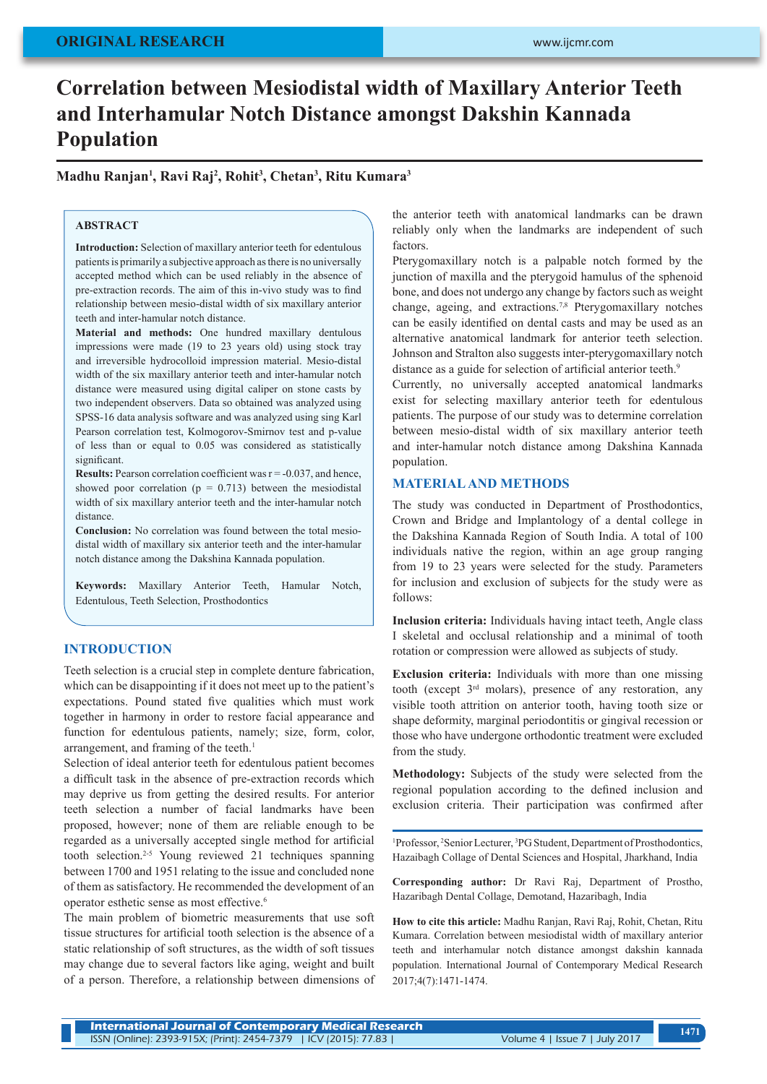## **ORIGINAL RESEARCH**

# **Correlation between Mesiodistal width of Maxillary Anterior Teeth and Interhamular Notch Distance amongst Dakshin Kannada Population**

**Madhu Ranjan1 , Ravi Raj2 , Rohit3 , Chetan3 , Ritu Kumara3**

## **ABSTRACT**

**Introduction:** Selection of maxillary anterior teeth for edentulous patients is primarily a subjective approach as there is no universally accepted method which can be used reliably in the absence of pre-extraction records. The aim of this in-vivo study was to find relationship between mesio-distal width of six maxillary anterior teeth and inter-hamular notch distance.

**Material and methods:** One hundred maxillary dentulous impressions were made (19 to 23 years old) using stock tray and irreversible hydrocolloid impression material. Mesio-distal width of the six maxillary anterior teeth and inter-hamular notch distance were measured using digital caliper on stone casts by two independent observers. Data so obtained was analyzed using SPSS-16 data analysis software and was analyzed using sing Karl Pearson correlation test, Kolmogorov-Smirnov test and p-value of less than or equal to 0.05 was considered as statistically significant.

**Results:** Pearson correlation coefficient was  $r = -0.037$ , and hence, showed poor correlation ( $p = 0.713$ ) between the mesiodistal width of six maxillary anterior teeth and the inter-hamular notch distance.

**Conclusion:** No correlation was found between the total mesiodistal width of maxillary six anterior teeth and the inter-hamular notch distance among the Dakshina Kannada population.

**Keywords:** Maxillary Anterior Teeth, Hamular Notch, Edentulous, Teeth Selection, Prosthodontics

## **INTRODUCTION**

Teeth selection is a crucial step in complete denture fabrication, which can be disappointing if it does not meet up to the patient's expectations. Pound stated five qualities which must work together in harmony in order to restore facial appearance and function for edentulous patients, namely; size, form, color, arrangement, and framing of the teeth.<sup>1</sup>

Selection of ideal anterior teeth for edentulous patient becomes a difficult task in the absence of pre-extraction records which may deprive us from getting the desired results. For anterior teeth selection a number of facial landmarks have been proposed, however; none of them are reliable enough to be regarded as a universally accepted single method for artificial tooth selection.2-5 Young reviewed 21 techniques spanning between 1700 and 1951 relating to the issue and concluded none of them as satisfactory. He recommended the development of an operator esthetic sense as most effective.6

The main problem of biometric measurements that use soft tissue structures for artificial tooth selection is the absence of a static relationship of soft structures, as the width of soft tissues may change due to several factors like aging, weight and built of a person. Therefore, a relationship between dimensions of

the anterior teeth with anatomical landmarks can be drawn reliably only when the landmarks are independent of such factors.

Pterygomaxillary notch is a palpable notch formed by the junction of maxilla and the pterygoid hamulus of the sphenoid bone, and does not undergo any change by factors such as weight change, ageing, and extractions.7,8 Pterygomaxillary notches can be easily identified on dental casts and may be used as an alternative anatomical landmark for anterior teeth selection. Johnson and Stralton also suggests inter-pterygomaxillary notch distance as a guide for selection of artificial anterior teeth.<sup>9</sup>

Currently, no universally accepted anatomical landmarks exist for selecting maxillary anterior teeth for edentulous patients. The purpose of our study was to determine correlation between mesio-distal width of six maxillary anterior teeth and inter-hamular notch distance among Dakshina Kannada population.

## **MATERIAL AND METHODS**

The study was conducted in Department of Prosthodontics, Crown and Bridge and Implantology of a dental college in the Dakshina Kannada Region of South India. A total of 100 individuals native the region, within an age group ranging from 19 to 23 years were selected for the study. Parameters for inclusion and exclusion of subjects for the study were as follows:

**Inclusion criteria:** Individuals having intact teeth, Angle class I skeletal and occlusal relationship and a minimal of tooth rotation or compression were allowed as subjects of study.

**Exclusion criteria:** Individuals with more than one missing tooth (except 3rd molars), presence of any restoration, any visible tooth attrition on anterior tooth, having tooth size or shape deformity, marginal periodontitis or gingival recession or those who have undergone orthodontic treatment were excluded from the study.

**Methodology:** Subjects of the study were selected from the regional population according to the defined inclusion and exclusion criteria. Their participation was confirmed after

<sup>1</sup>Professor, <sup>2</sup>Senior Lecturer, <sup>3</sup>PG Student, Department of Prosthodontics, Hazaibagh Collage of Dental Sciences and Hospital, Jharkhand, India

**Corresponding author:** Dr Ravi Raj, Department of Prostho, Hazaribagh Dental Collage, Demotand, Hazaribagh, India

**How to cite this article:** Madhu Ranjan, Ravi Raj, Rohit, Chetan, Ritu Kumara. Correlation between mesiodistal width of maxillary anterior teeth and interhamular notch distance amongst dakshin kannada population. International Journal of Contemporary Medical Research 2017;4(7):1471-1474.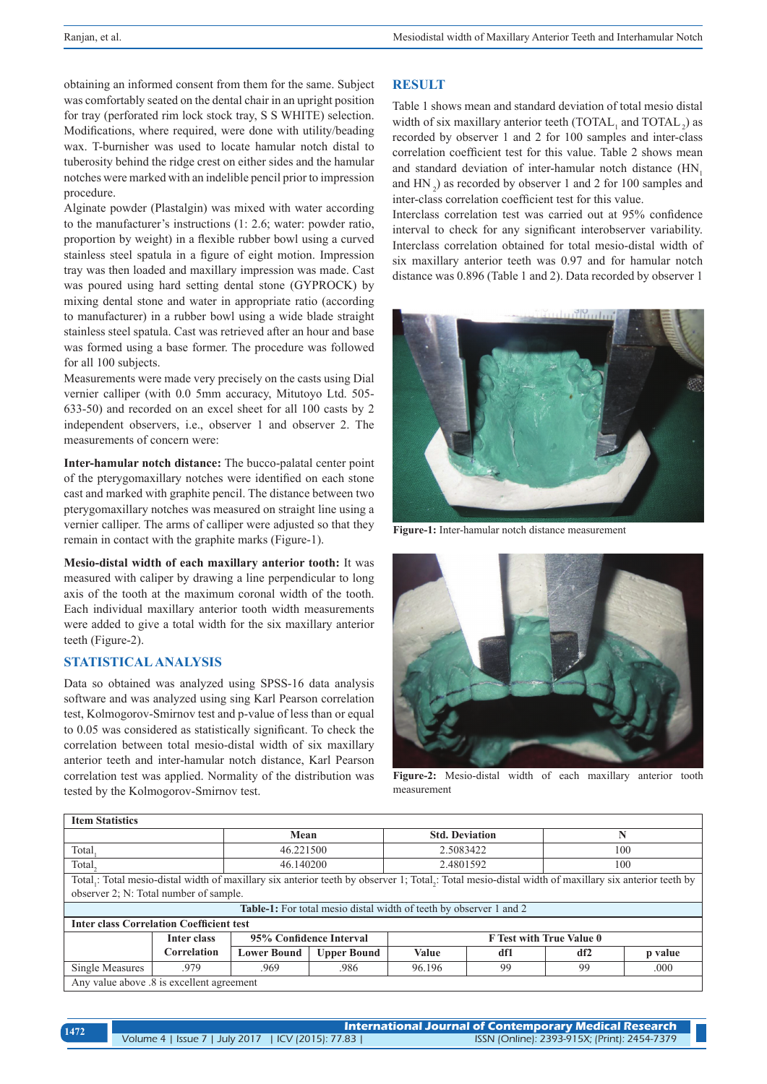obtaining an informed consent from them for the same. Subject was comfortably seated on the dental chair in an upright position for tray (perforated rim lock stock tray, S S WHITE) selection. Modifications, where required, were done with utility/beading wax. T-burnisher was used to locate hamular notch distal to tuberosity behind the ridge crest on either sides and the hamular notches were marked with an indelible pencil prior to impression procedure.

Alginate powder (Plastalgin) was mixed with water according to the manufacturer's instructions (1: 2.6; water: powder ratio, proportion by weight) in a flexible rubber bowl using a curved stainless steel spatula in a figure of eight motion. Impression tray was then loaded and maxillary impression was made. Cast was poured using hard setting dental stone (GYPROCK) by mixing dental stone and water in appropriate ratio (according to manufacturer) in a rubber bowl using a wide blade straight stainless steel spatula. Cast was retrieved after an hour and base was formed using a base former. The procedure was followed for all 100 subjects.

Measurements were made very precisely on the casts using Dial vernier calliper (with 0.0 5mm accuracy, Mitutoyo Ltd. 505- 633-50) and recorded on an excel sheet for all 100 casts by 2 independent observers, i.e., observer 1 and observer 2. The measurements of concern were:

**Inter-hamular notch distance:** The bucco-palatal center point of the pterygomaxillary notches were identified on each stone cast and marked with graphite pencil. The distance between two pterygomaxillary notches was measured on straight line using a vernier calliper. The arms of calliper were adjusted so that they remain in contact with the graphite marks (Figure-1).

**Mesio-distal width of each maxillary anterior tooth:** It was measured with caliper by drawing a line perpendicular to long axis of the tooth at the maximum coronal width of the tooth. Each individual maxillary anterior tooth width measurements were added to give a total width for the six maxillary anterior teeth (Figure-2).

## **STATISTICAL ANALYSIS**

Data so obtained was analyzed using SPSS-16 data analysis software and was analyzed using sing Karl Pearson correlation test, Kolmogorov-Smirnov test and p-value of less than or equal to 0.05 was considered as statistically significant. To check the correlation between total mesio-distal width of six maxillary anterior teeth and inter-hamular notch distance, Karl Pearson correlation test was applied. Normality of the distribution was tested by the Kolmogorov-Smirnov test.

## **RESULT**

Table 1 shows mean and standard deviation of total mesio distal width of six maxillary anterior teeth  $(TOTAL<sub>1</sub>$  and  $TOTAL<sub>2</sub>)$  as recorded by observer 1 and 2 for 100 samples and inter-class correlation coefficient test for this value. Table 2 shows mean and standard deviation of inter-hamular notch distance (HN, and  $HN<sub>2</sub>$ ) as recorded by observer 1 and 2 for 100 samples and inter-class correlation coefficient test for this value.

Interclass correlation test was carried out at 95% confidence interval to check for any significant interobserver variability. Interclass correlation obtained for total mesio-distal width of six maxillary anterior teeth was 0.97 and for hamular notch distance was 0.896 (Table 1 and 2). Data recorded by observer 1



**Figure-1:** Inter-hamular notch distance measurement



**Figure-2:** Mesio-distal width of each maxillary anterior tooth measurement

| <b>Item Statistics</b>                                                                                                                              |             |                         |                       |                                 |     |     |         |
|-----------------------------------------------------------------------------------------------------------------------------------------------------|-------------|-------------------------|-----------------------|---------------------------------|-----|-----|---------|
|                                                                                                                                                     | Mean        |                         | <b>Std. Deviation</b> |                                 | N   |     |         |
| Total                                                                                                                                               |             | 46.221500               |                       | 2.5083422                       |     | 100 |         |
| Total.                                                                                                                                              | 46.140200   |                         | 2.4801592             |                                 | 100 |     |         |
| Total,: Total mesio-distal width of maxillary six anterior teeth by observer 1; Total,: Total mesio-distal width of maxillary six anterior teeth by |             |                         |                       |                                 |     |     |         |
| observer 2; N: Total number of sample.                                                                                                              |             |                         |                       |                                 |     |     |         |
| <b>Table-1:</b> For total mesio distal width of teeth by observer 1 and 2                                                                           |             |                         |                       |                                 |     |     |         |
| <b>Inter class Correlation Coefficient test</b>                                                                                                     |             |                         |                       |                                 |     |     |         |
|                                                                                                                                                     | Inter class | 95% Confidence Interval |                       | <b>F</b> Test with True Value 0 |     |     |         |
|                                                                                                                                                     | Correlation | <b>Lower Bound</b>      | <b>Upper Bound</b>    | <b>Value</b>                    | df1 | df2 | p value |
| Single Measures                                                                                                                                     | .979        | .969                    | .986                  | 96.196                          | 99  | 99  | .000    |
| Any value above .8 is excellent agreement                                                                                                           |             |                         |                       |                                 |     |     |         |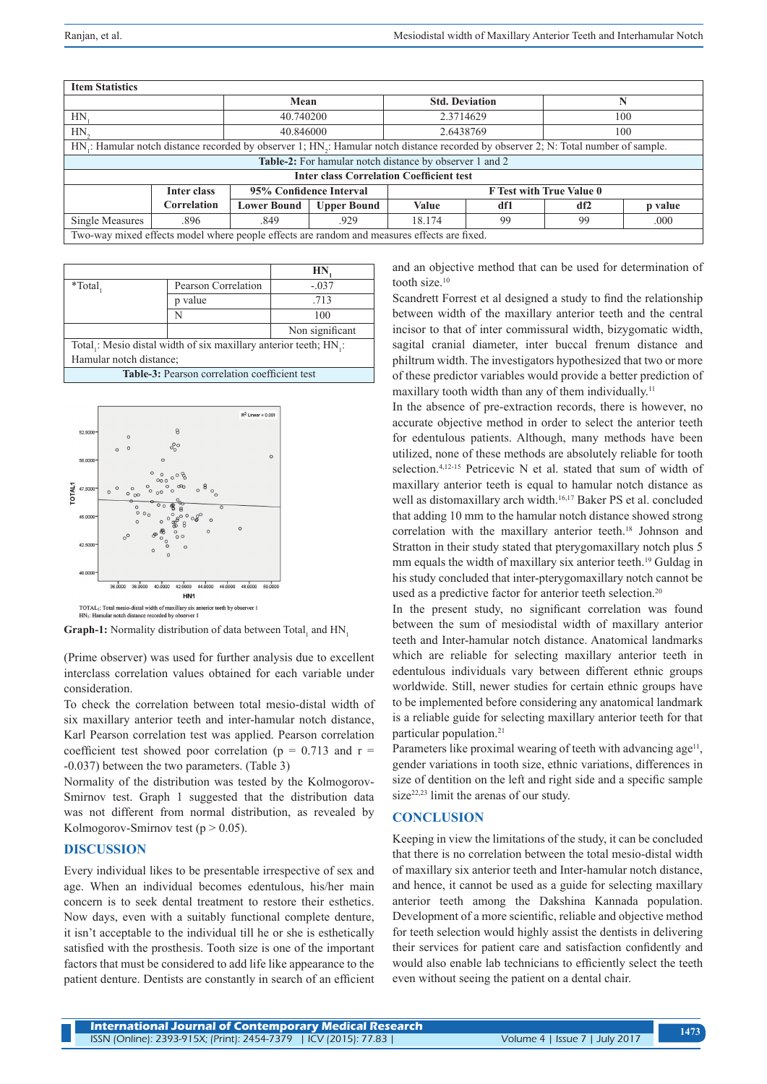| <b>Item Statistics</b>                                                                                                                                       |             |                         |                    |                                 |     |     |         |
|--------------------------------------------------------------------------------------------------------------------------------------------------------------|-------------|-------------------------|--------------------|---------------------------------|-----|-----|---------|
|                                                                                                                                                              |             | Mean                    |                    | <b>Std. Deviation</b>           |     |     |         |
| HN                                                                                                                                                           |             | 40.740200               |                    | 2.3714629                       |     | 100 |         |
| $HN_{2}$                                                                                                                                                     |             | 40.846000               |                    | 2.6438769                       |     | 100 |         |
| HN <sub>i</sub> : Hamular notch distance recorded by observer 1; HN <sub>i</sub> : Hamular notch distance recorded by observer 2; N: Total number of sample. |             |                         |                    |                                 |     |     |         |
| <b>Table-2:</b> For hamular notch distance by observer 1 and 2                                                                                               |             |                         |                    |                                 |     |     |         |
| <b>Inter class Correlation Coefficient test</b>                                                                                                              |             |                         |                    |                                 |     |     |         |
|                                                                                                                                                              | Inter class | 95% Confidence Interval |                    | <b>F</b> Test with True Value 0 |     |     |         |
|                                                                                                                                                              | Correlation | <b>Lower Bound</b>      | <b>Upper Bound</b> | Value                           | df1 | df2 | p value |
| Single Measures                                                                                                                                              | .896        | .849                    | .929               | 18.174                          | 99  | 99  | .000    |
| Two-way mixed effects model where people effects are random and measures effects are fixed.                                                                  |             |                         |                    |                                 |     |     |         |

|                                                                  |                     | HN              |  |  |  |
|------------------------------------------------------------------|---------------------|-----------------|--|--|--|
| *Total,                                                          | Pearson Correlation | $-.037$         |  |  |  |
|                                                                  | p value             | .713            |  |  |  |
|                                                                  | N                   | 100             |  |  |  |
|                                                                  |                     | Non significant |  |  |  |
| Total,: Mesio distal width of six maxillary anterior teeth; HN,: |                     |                 |  |  |  |
| Hamular notch distance;                                          |                     |                 |  |  |  |

**Table-3:** Pearson correlation coefficient test



**Graph-1:** Normality distribution of data between Total, and  $HN_1$ 

(Prime observer) was used for further analysis due to excellent interclass correlation values obtained for each variable under consideration.

To check the correlation between total mesio-distal width of six maxillary anterior teeth and inter-hamular notch distance, Karl Pearson correlation test was applied. Pearson correlation coefficient test showed poor correlation ( $p = 0.713$  and  $r =$ -0.037) between the two parameters. (Table 3)

Normality of the distribution was tested by the Kolmogorov-Smirnov test. Graph 1 suggested that the distribution data was not different from normal distribution, as revealed by Kolmogorov-Smirnov test ( $p > 0.05$ ).

#### **DISCUSSION**

Every individual likes to be presentable irrespective of sex and age. When an individual becomes edentulous, his/her main concern is to seek dental treatment to restore their esthetics. Now days, even with a suitably functional complete denture, it isn't acceptable to the individual till he or she is esthetically satisfied with the prosthesis. Tooth size is one of the important factors that must be considered to add life like appearance to the patient denture. Dentists are constantly in search of an efficient and an objective method that can be used for determination of tooth size.10

Scandrett Forrest et al designed a study to find the relationship between width of the maxillary anterior teeth and the central incisor to that of inter commissural width, bizygomatic width, sagital cranial diameter, inter buccal frenum distance and philtrum width. The investigators hypothesized that two or more of these predictor variables would provide a better prediction of maxillary tooth width than any of them individually.<sup>11</sup>

In the absence of pre-extraction records, there is however, no accurate objective method in order to select the anterior teeth for edentulous patients. Although, many methods have been utilized, none of these methods are absolutely reliable for tooth selection.<sup>4,12-15</sup> Petricevic N et al. stated that sum of width of maxillary anterior teeth is equal to hamular notch distance as well as distomaxillary arch width.<sup>16,17</sup> Baker PS et al. concluded that adding 10 mm to the hamular notch distance showed strong correlation with the maxillary anterior teeth.<sup>18</sup> Johnson and Stratton in their study stated that pterygomaxillary notch plus 5 mm equals the width of maxillary six anterior teeth.<sup>19</sup> Guldag in his study concluded that inter-pterygomaxillary notch cannot be used as a predictive factor for anterior teeth selection.20

In the present study, no significant correlation was found between the sum of mesiodistal width of maxillary anterior teeth and Inter-hamular notch distance. Anatomical landmarks which are reliable for selecting maxillary anterior teeth in edentulous individuals vary between different ethnic groups worldwide. Still, newer studies for certain ethnic groups have to be implemented before considering any anatomical landmark is a reliable guide for selecting maxillary anterior teeth for that particular population.<sup>21</sup>

Parameters like proximal wearing of teeth with advancing age<sup>11</sup>, gender variations in tooth size, ethnic variations, differences in size of dentition on the left and right side and a specific sample size<sup>22,23</sup> limit the arenas of our study.

#### **CONCLUSION**

Keeping in view the limitations of the study, it can be concluded that there is no correlation between the total mesio-distal width of maxillary six anterior teeth and Inter-hamular notch distance, and hence, it cannot be used as a guide for selecting maxillary anterior teeth among the Dakshina Kannada population. Development of a more scientific, reliable and objective method for teeth selection would highly assist the dentists in delivering their services for patient care and satisfaction confidently and would also enable lab technicians to efficiently select the teeth even without seeing the patient on a dental chair.